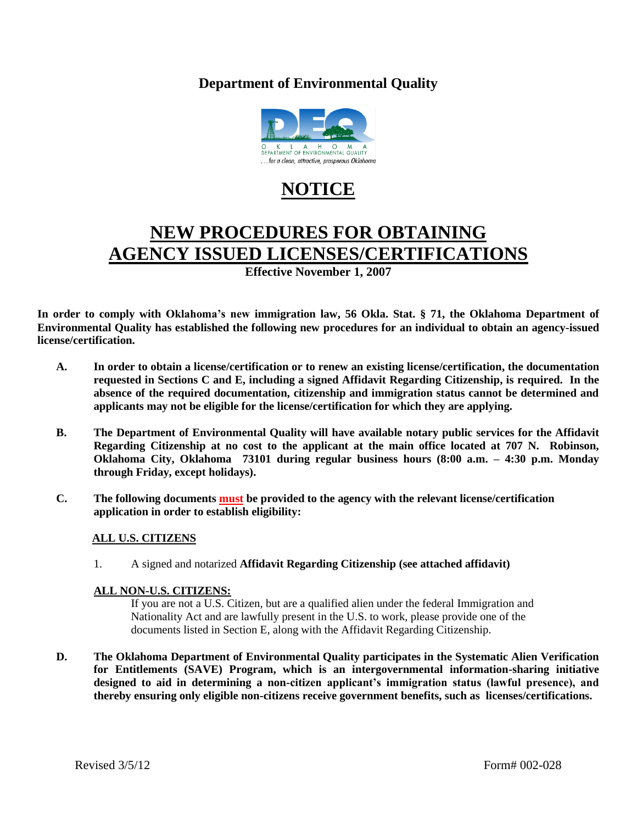### **Department of Environmental Quality**



# **NOTICE**

# **NEW PROCEDURES FOR OBTAINING AGENCY ISSUED LICENSES/CERTIFICATIONS**

**Effective November 1, 2007**

**In order to comply with Oklahoma's new immigration law, 56 Okla. Stat. § 71, the Oklahoma Department of Environmental Quality has established the following new procedures for an individual to obtain an agency-issued license/certification.**

- **A. In order to obtain a license/certification or to renew an existing license/certification, the documentation requested in Sections C and E, including a signed Affidavit Regarding Citizenship, is required. In the absence of the required documentation, citizenship and immigration status cannot be determined and applicants may not be eligible for the license/certification for which they are applying.**
- **B. The Department of Environmental Quality will have available notary public services for the Affidavit Regarding Citizenship at no cost to the applicant at the main office located at 707 N. Robinson, Oklahoma City, Oklahoma 73101 during regular business hours (8:00 a.m. – 4:30 p.m. Monday through Friday, except holidays).**
- **C. The following documents must be provided to the agency with the relevant license/certification application in order to establish eligibility:**

#### **ALL U.S. CITIZENS**

1. A signed and notarized **Affidavit Regarding Citizenship (see attached affidavit)**

#### **ALL NON-U.S. CITIZENS:**

If you are not a U.S. Citizen, but are a qualified alien under the federal Immigration and Nationality Act and are lawfully present in the U.S. to work, please provide one of the documents listed in Section E, along with the Affidavit Regarding Citizenship.

**D. The Oklahoma Department of Environmental Quality participates in the Systematic Alien Verification for Entitlements (SAVE) Program, which is an intergovernmental information-sharing initiative designed to aid in determining a non-citizen applicant's immigration status (lawful presence), and thereby ensuring only eligible non-citizens receive government benefits, such as licenses/certifications.**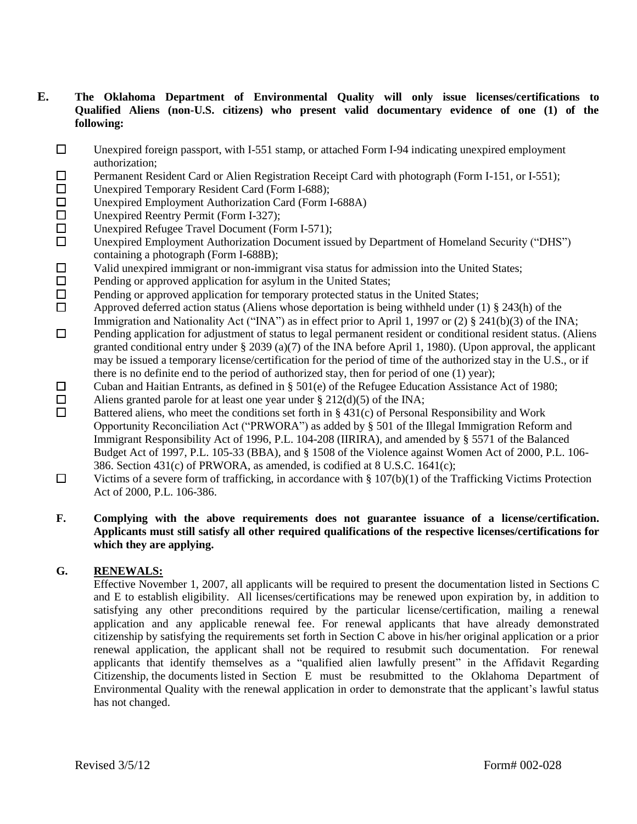#### **E. The Oklahoma Department of Environmental Quality will only issue licenses/certifications to Qualified Aliens (non-U.S. citizens) who present valid documentary evidence of one (1) of the following:**

- $\square$  Unexpired foreign passport, with I-551 stamp, or attached Form I-94 indicating unexpired employment authorization;
- $\Box$  Permanent Resident Card or Alien Registration Receipt Card with photograph (Form I-151, or I-551);
- □ Unexpired Temporary Resident Card (Form I-688);
- $\square$  Unexpired Employment Authorization Card (Form I-688A)
- □ Unexpired Reentry Permit (Form I-327);
- $\square$  Unexpired Refugee Travel Document (Form I-571);
- Unexpired Employment Authorization Document issued by Department of Homeland Security ("DHS") containing a photograph (Form I-688B);
- $\Box$  Valid unexpired immigrant or non-immigrant visa status for admission into the United States;
- $\square$  Pending or approved application for asylum in the United States;
- $\Box$  Pending or approved application for temporary protected status in the United States;
- $\Box$  Approved deferred action status (Aliens whose deportation is being withheld under (1) § 243(h) of the Immigration and Nationality Act ("INA") as in effect prior to April 1, 1997 or (2) § 241(b)(3) of the INA;
- $\Box$  Pending application for adjustment of status to legal permanent resident or conditional resident status. (Aliens granted conditional entry under § 2039 (a)(7) of the INA before April 1, 1980). (Upon approval, the applicant may be issued a temporary license/certification for the period of time of the authorized stay in the U.S., or if there is no definite end to the period of authorized stay, then for period of one (1) year);
- $\square$  Cuban and Haitian Entrants, as defined in § 501(e) of the Refugee Education Assistance Act of 1980;
- □ Aliens granted parole for at least one year under § 212(d)(5) of the INA;<br>□ Battered aliens, who meet the conditions set forth in  $\frac{8431(c)}{c}$  of Personal

 Battered aliens, who meet the conditions set forth in § 431(c) of Personal Responsibility and Work Opportunity Reconciliation Act ("PRWORA") as added by § 501 of the Illegal Immigration Reform and Immigrant Responsibility Act of 1996, P.L. 104-208 (IIRIRA), and amended by § 5571 of the Balanced Budget Act of 1997, P.L. 105-33 (BBA), and § 1508 of the Violence against Women Act of 2000, P.L. 106- 386. Section 431(c) of PRWORA, as amended, is codified at 8 U.S.C. 1641(c);

 $\Box$  Victims of a severe form of trafficking, in accordance with § 107(b)(1) of the Trafficking Victims Protection Act of 2000, P.L. 106-386.

#### **F. Complying with the above requirements does not guarantee issuance of a license/certification. Applicants must still satisfy all other required qualifications of the respective licenses/certifications for which they are applying.**

#### **G. RENEWALS:**

Effective November 1, 2007, all applicants will be required to present the documentation listed in Sections C and E to establish eligibility. All licenses/certifications may be renewed upon expiration by, in addition to satisfying any other preconditions required by the particular license/certification, mailing a renewal application and any applicable renewal fee. For renewal applicants that have already demonstrated citizenship by satisfying the requirements set forth in Section C above in his/her original application or a prior renewal application, the applicant shall not be required to resubmit such documentation. For renewal applicants that identify themselves as a "qualified alien lawfully present" in the Affidavit Regarding Citizenship, the documents listed in Section E must be resubmitted to the Oklahoma Department of Environmental Quality with the renewal application in order to demonstrate that the applicant's lawful status has not changed.